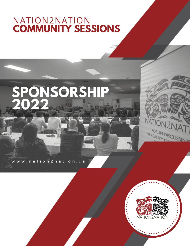### NATION2NATION **COMMUNITY SESSIONS**

# **SPONSORSHIP 2022**

w w w . n a t i o n 2 n a t i o n . c a



N A 7

THE REALITY

FORUM DISCUSS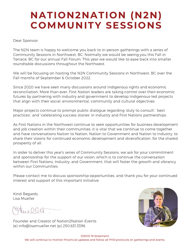## **NATION2NATION (N2N) COMMUNITY SESSIONS**

Dear Sponsor,

The N2N team is happy to welcome you back to in-person gatherings with a series of Community Sessions in Northwest, BC. Normally we would be seeing you this Fall in Terrace, BC for our annual Fall Forum. This year we would like to ease back into smaller roundtable discussions throughout the Northwest.

We will be focusing on hosting the N2N Community Sessions in Northwest, BC over the Fall months of September & October 2022.

Since 2020 we have seen many discussions around Indigenous rights and economic reconciliation. More than ever, First Nation leaders are taking control over their economic futures by partnering with industry and government to develop Indigenous-led projects that align with their social, environmental, community and cultural objectives.

Major projects continue to prompt public dialogue regarding 'duty to consult', 'best practices', and 'celebrating success stories' in industry and First Nations partnerships.

As First Nations in the Northwest continue to seek opportunities for business development and job creation within their communities, it is vital that we continue to come together and have conversations Nation to Nation, Nation to Government and Nation to Industry, to share their visions for continued economic development and diversification, for the shared prosperity of all.

In order to deliver this year's series of Community Sessions, we ask for your commitment and sponsorship for the support of our vision, which is to continue the conversation between First Nations, Industry, and Government, that will foster the growth and vibrancy within our Communities.

Please contact me to discuss sponsorship opportunities, and thank you for your continued interest and support of this important initiative.

Kind Regards, Lisa Mueller

 $\ln 000$ 

Founder and Creator of Nation2Nation Events (e) info@lisamueller.net (p) 250.631.3396



#### COVID-19 Statement We will continue to monitor Provincial updates and follow all PHO protocols on gatherings and events.